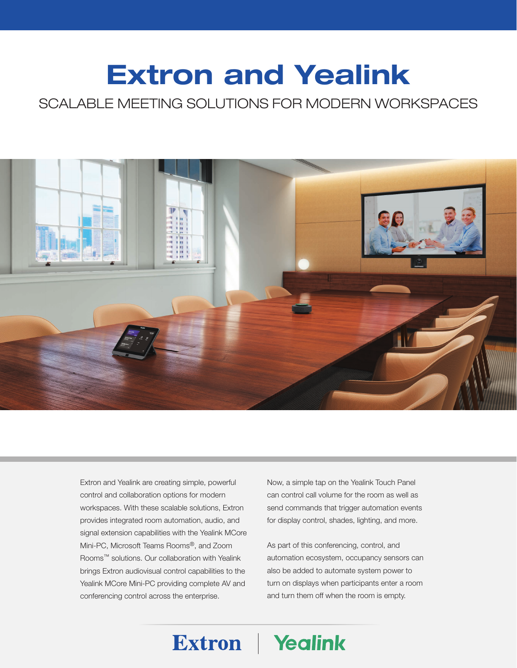# Extron and Yealink

## SCALABLE MEETING SOLUTIONS FOR MODERN WORKSPACES



Extron and Yealink are creating simple, powerful control and collaboration options for modern workspaces. With these scalable solutions, Extron provides integrated room automation, audio, and signal extension capabilities with the Yealink MCore Mini-PC, Microsoft Teams Rooms®, and Zoom Rooms™ solutions. Our collaboration with Yealink brings Extron audiovisual control capabilities to the Yealink MCore Mini-PC providing complete AV and conferencing control across the enterprise.

Now, a simple tap on the Yealink Touch Panel can control call volume for the room as well as send commands that trigger automation events for display control, shades, lighting, and more.

As part of this conferencing, control, and automation ecosystem, occupancy sensors can also be added to automate system power to turn on displays when participants enter a room and turn them off when the room is empty.